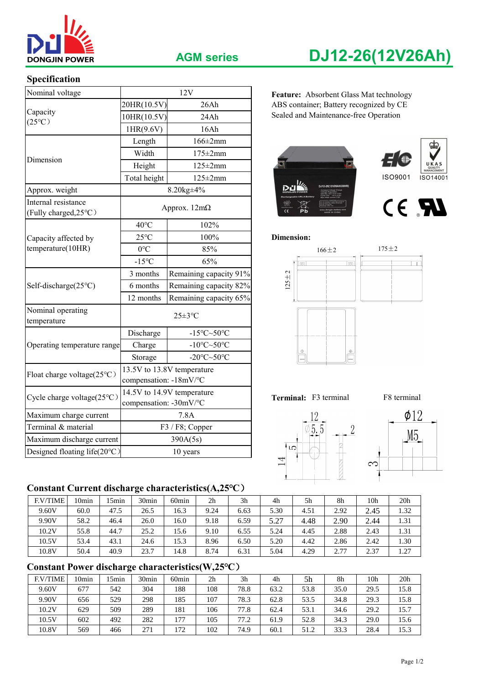

## **AGM series DJ12-26(12V26Ah)**

## **Specification**

| Nominal voltage                              |                                                                                                                                                                                                                           | 12V                        | Feature: Absorbent Glass Mat technology |  |  |  |  |  |
|----------------------------------------------|---------------------------------------------------------------------------------------------------------------------------------------------------------------------------------------------------------------------------|----------------------------|-----------------------------------------|--|--|--|--|--|
|                                              | 20HR(10.5V)<br>26Ah                                                                                                                                                                                                       |                            | ABS container; Battery recognized by CE |  |  |  |  |  |
| Capacity<br>$(25^{\circ}C)$                  | 10HR(10.5V)<br>24Ah                                                                                                                                                                                                       |                            | Sealed and Maintenance-free Operation   |  |  |  |  |  |
|                                              | 1HR(9.6V)                                                                                                                                                                                                                 | 16Ah                       |                                         |  |  |  |  |  |
|                                              | Length                                                                                                                                                                                                                    | $166 \pm 2 \text{mm}$      | Œ,                                      |  |  |  |  |  |
| Dimension                                    | Width<br>$175 \pm 2$ mm                                                                                                                                                                                                   |                            |                                         |  |  |  |  |  |
|                                              | Height                                                                                                                                                                                                                    | $125 \pm 2$ mm             |                                         |  |  |  |  |  |
|                                              | Total height                                                                                                                                                                                                              | $125 \pm 2$ mm             | <b>ISO9001</b><br>ISO14001              |  |  |  |  |  |
| Approx. weight                               |                                                                                                                                                                                                                           | 8.20kg±4%                  |                                         |  |  |  |  |  |
| Internal resistance<br>(Fully charged, 25°C) |                                                                                                                                                                                                                           | Approx. $12m\Omega$        | CE RI<br>⊠<br>Pb                        |  |  |  |  |  |
|                                              | $40^{\circ}$ C<br>102%                                                                                                                                                                                                    |                            |                                         |  |  |  |  |  |
| Capacity affected by                         | $25^{\circ}$ C                                                                                                                                                                                                            | 100%                       | <b>Dimension:</b>                       |  |  |  |  |  |
| temperature(10HR)                            | $0^{\circ}C$                                                                                                                                                                                                              | 85%                        | $175 \pm 2$<br>$166 \pm 2$              |  |  |  |  |  |
|                                              | $-15^{\circ}C$                                                                                                                                                                                                            | 65%                        | $\lceil \nceil$<br>$\boxed{\circ}$      |  |  |  |  |  |
|                                              | 3 months                                                                                                                                                                                                                  | Remaining capacity 91%     | $125 + 2$                               |  |  |  |  |  |
| Self-discharge(25°C)                         | 6 months                                                                                                                                                                                                                  | Remaining capacity 82%     |                                         |  |  |  |  |  |
|                                              | 12 months                                                                                                                                                                                                                 | Remaining capacity 65%     |                                         |  |  |  |  |  |
| Nominal operating<br>temperature             | $25 \pm 3$ °C<br>Discharge<br>$-15^{\circ}$ C $\sim$ 50 $^{\circ}$ C<br>-10 $\textdegree$ C $\sim$ 50 $\textdegree$ C<br>Charge<br>-20 $\textdegree$ C $\sim$ 50 $\textdegree$ C<br>Storage<br>13.5V to 13.8V temperature |                            |                                         |  |  |  |  |  |
|                                              |                                                                                                                                                                                                                           |                            |                                         |  |  |  |  |  |
| Operating temperature range                  |                                                                                                                                                                                                                           |                            | $\oplus$<br>$\mathbb O$                 |  |  |  |  |  |
|                                              |                                                                                                                                                                                                                           |                            |                                         |  |  |  |  |  |
| Float charge voltage(25°C)                   | compensation: -18mV/°C                                                                                                                                                                                                    |                            |                                         |  |  |  |  |  |
| Cycle charge voltage(25°C)                   | compensation: -30mV/°C                                                                                                                                                                                                    | 14.5V to 14.9V temperature | Terminal: F3 terminal<br>F8 terminal    |  |  |  |  |  |
| Maximum charge current                       | 7.8A                                                                                                                                                                                                                      |                            | $\phi$ 12                               |  |  |  |  |  |
| Terminal & material                          | F3 / F8; Copper                                                                                                                                                                                                           |                            | 5.5                                     |  |  |  |  |  |
| Maximum discharge current                    |                                                                                                                                                                                                                           | 390A(5s)                   | M <sub>5</sub>                          |  |  |  |  |  |
| Designed floating life(20°C)                 |                                                                                                                                                                                                                           | 10 years                   | LO                                      |  |  |  |  |  |

Feature: Absorbent Glass Mat technology 20HR(10.5V) 26Ah ABS container; Battery recognized by CE















### **Constant Current discharge characteristics(A,25℃**)

| <b>F.V/TIME</b> | 10 <sub>min</sub> | 5min | 30 <sub>min</sub> | 60 <sub>min</sub> | 2 <sub>h</sub> | 3 <sub>h</sub> | 4h               | 5h   | 8h   | 10h  | 20 <sub>h</sub> |
|-----------------|-------------------|------|-------------------|-------------------|----------------|----------------|------------------|------|------|------|-----------------|
| 9.60V           | 60.0              | 47.5 | 26.5              | 16.3              | 9.24           | 6.63           | 5.30             | 4.51 | 2.92 | 2.45 | 1.32            |
| 9.90V           | 58.2              | 46.4 | 26.0              | 16.0              | 9.18           | 6.59           | 5.27<br>ا ہے ، پ | 4.48 | 2.90 | 2.44 | 1.31            |
| 10.2V           | 55.8              | 44.7 | 25.2              | 15.6              | 9.10           | 6.55           | 5.24             | 4.45 | 2.88 | 2.43 | 1.31            |
| 10.5V           | 53.4              | 43.1 | 24.6              | 15.3              | 8.96           | 6.50           | 5.20             | 4.42 | 2.86 | 2.42 | 1.30            |
| 10.8V           | 50.4              | 40.9 | 23.7              | 14.8              | 8.74           | 6.31           | 5.04             | 4.29 | 2.77 | 2.37 | 1.27            |

## **Constant Power discharge characteristics(W,25℃**)

| <b>F.V/TIME</b> | 10min | 5 <sub>min</sub> | 30 <sub>min</sub> | 60 <sub>min</sub> | 2 <sub>h</sub> | 3h   | 4h   | 5h   | 8h   | 10h  | 20 <sub>h</sub> |
|-----------------|-------|------------------|-------------------|-------------------|----------------|------|------|------|------|------|-----------------|
| 9.60V           | 677   | 542              | 304               | 188               | 108            | 78.8 | 63.2 | 53.8 | 35.0 | 29.5 | 15.8            |
| 9.90V           | 656   | 529              | 298               | 185               | 107            | 78.3 | 62.8 | 53.5 | 34.8 | 29.3 | 15.8            |
| 10.2V           | 629   | 509              | 289               | 181               | 106            | 77.8 | 62.4 | 53.1 | 34.6 | 29.2 | 15.7            |
| 10.5V           | 602   | 492              | 282               | 177               | 105            | 77.2 | 61.9 | 52.8 | 34.3 | 29.0 | 15.6            |
| 10.8V           | 569   | 466              | 271               | 172               | 102            | 74.9 | 60.1 | 51.2 | 33.3 | 28.4 | 15.3            |